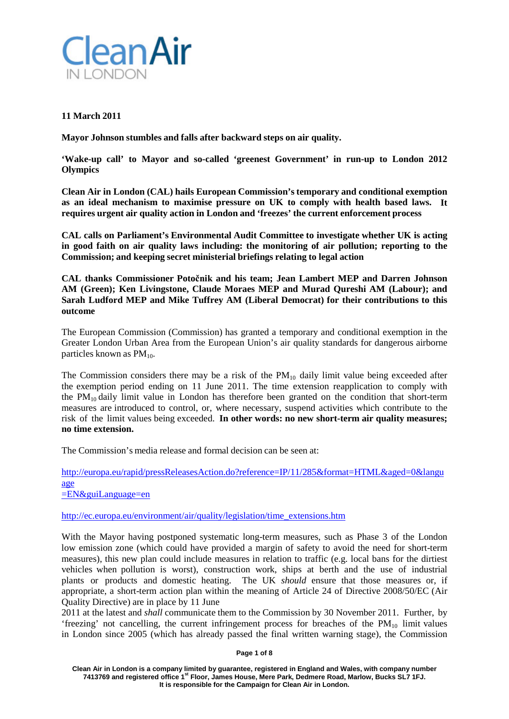

# **11 March 2011**

**Mayor Johnson stumbles and falls after backward steps on air quality.**

**'Wake-up call' to Mayor and so-called 'greenest Government' in run-up to London 2012 Olympics**

**Clean Air in London (CAL) hails European Commission's temporary and conditional exemption as an ideal mechanism to maximise pressure on UK to comply with health based laws. It requires urgent air quality action in London and 'freezes' the current enforcement process**

**CAL calls on Parliament's Environmental Audit Committee to investigate whether UK is acting in good faith on air quality laws including: the monitoring of air pollution; reporting to the Commission; and keeping secret ministerial briefings relating to legal action**

**CAL thanks Commissioner Potočnik and his team; Jean Lambert MEP and Darren Johnson AM (Green); Ken Livingstone, Claude Moraes MEP and Murad Qureshi AM (Labour); and Sarah Ludford MEP and Mike Tuffrey AM (Liberal Democrat) for their contributions to this outcome**

The European Commission (Commission) has granted a temporary and conditional exemption in the Greater London Urban Area from the European Union's air quality standards for dangerous airborne particles known as PM<sub>10</sub>.

The Commission considers there may be a risk of the  $PM_{10}$  daily limit value being exceeded after the exemption period ending on 11 June 2011. The time extension reapplication to comply with the  $PM_{10}$  daily limit value in London has therefore been granted on the condition that short-term measures are introduced to control, or, where necessary, suspend activities which contribute to the risk of the limit values being exceeded. **In other words: no new short-term air quality measures; no time extension.**

The Commission's media release and formal decision can be seen at:

[http://europa.eu/rapid/pressReleasesAction.do?reference=IP/11/285&format=HTML&aged=0&langu](http://europa.eu/rapid/pressReleasesAction.do?reference=IP/11/285&format=HTML&aged=0&language) [age](http://europa.eu/rapid/pressReleasesAction.do?reference=IP/11/285&format=HTML&aged=0&language) [=EN&guiLanguage=en](http://europa.eu/rapid/pressReleasesAction.do?reference=IP/11/285&format=HTML&aged=0&language)

[http://ec.europa.eu/environment/air/quality/legislation/time\\_extensions.htm](http://ec.europa.eu/environment/air/quality/legislation/time_extensions.htm)

With the Mayor having postponed systematic long-term measures, such as Phase 3 of the London low emission zone (which could have provided a margin of safety to avoid the need for short-term measures), this new plan could include measures in relation to traffic (e.g. local bans for the dirtiest vehicles when pollution is worst), construction work, ships at berth and the use of industrial plants or products and domestic heating. The UK *should* ensure that those measures or, if appropriate, a short-term action plan within the meaning of Article 24 of Directive 2008/50/EC (Air Quality Directive) are in place by 11 June

2011 at the latest and *shall* communicate them to the Commission by 30 November 2011. Further, by 'freezing' not cancelling, the current infringement process for breaches of the  $PM_{10}$  limit values in London since 2005 (which has already passed the final written warning stage), the Commission

**Page 1 of 8**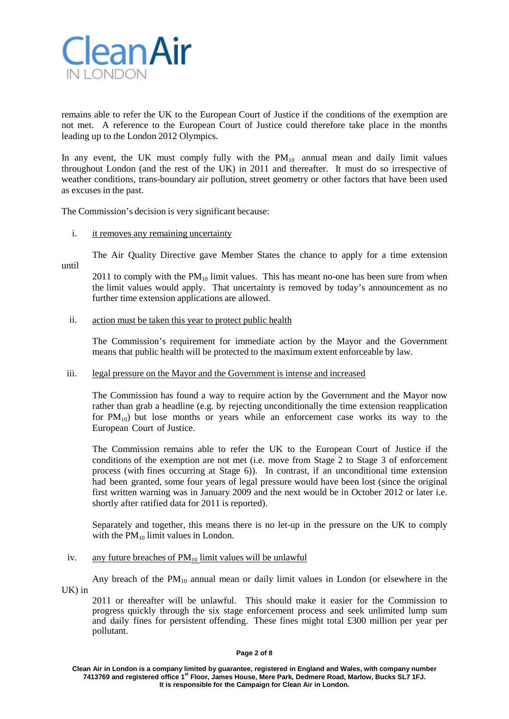

remains able to refer the UK to the European Court of Justice if the conditions of the exemption are not met. A reference to the European Court of Justice could therefore take place in the months leading up to the London 2012 Olympics.

In any event, the UK must comply fully with the  $PM_{10}$  annual mean and daily limit values throughout London (and the rest of the UK) in 2011 and thereafter. It must do so irrespective of weather conditions, trans-boundary air pollution, street geometry or other factors that have been used as excuses in the past.

The Commission's decision is very significant because:

## i. it removes any remaining uncertainty

The Air Quality Directive gave Member States the chance to apply for a time extension until

2011 to comply with the  $PM_{10}$  limit values. This has meant no-one has been sure from when the limit values would apply. That uncertainty is removed by today's announcement as no further time extension applications are allowed.

## ii. action must be taken this year to protect public health

The Commission's requirement for immediate action by the Mayor and the Government means that public health will be protected to the maximum extent enforceable by law.

# iii. legal pressure on the Mayor and the Government is intense and increased

The Commission has found a way to require action by the Government and the Mayor now rather than grab a headline (e.g. by rejecting unconditionally the time extension reapplication for  $PM_{10}$ ) but lose months or years while an enforcement case works its way to the European Court of Justice.

The Commission remains able to refer the UK to the European Court of Justice if the conditions of the exemption are not met (i.e. move from Stage 2 to Stage 3 of enforcement process (with fines occurring at Stage 6)). In contrast, if an unconditional time extension had been granted, some four years of legal pressure would have been lost (since the original first written warning was in January 2009 and the next would be in October 2012 or later i.e. shortly after ratified data for 2011 is reported).

Separately and together, this means there is no let-up in the pressure on the UK to comply with the  $PM_{10}$  limit values in London.

#### iv. any future breaches of  $PM_{10}$  limit values will be unlawful

Any breach of the  $PM_{10}$  annual mean or daily limit values in London (or elsewhere in the UK) in

2011 or thereafter will be unlawful. This should make it easier for the Commission to progress quickly through the six stage enforcement process and seek unlimited lump sum and daily fines for persistent offending. These fines might total £300 million per year per pollutant.

#### **Page 2 of 8**

**Clean Air in London is a company limited by guarantee, registered in England and Wales, with company number 7413769 and registered office 1st Floor, James House, Mere Park, Dedmere Road, Marlow, Bucks SL7 1FJ. It is responsible for the Campaign for Clean Air in London.**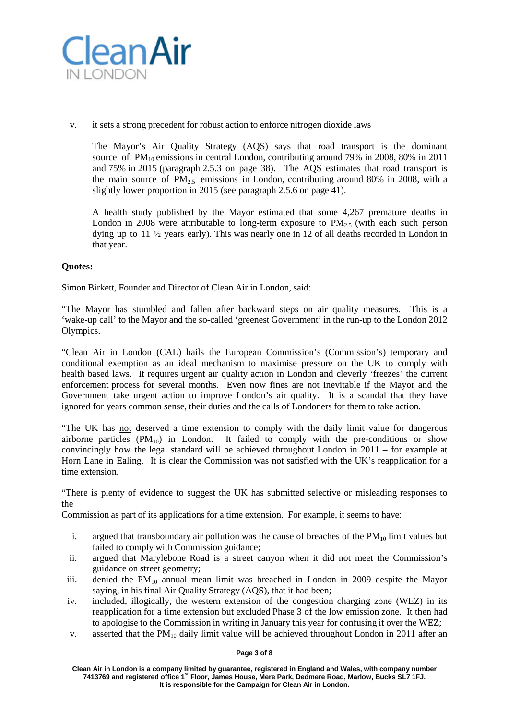

# v. it sets a strong precedent for robust action to enforce nitrogen dioxide laws

The Mayor's Air Quality Strategy (AQS) says that road transport is the dominant source of  $PM_{10}$  emissions in central London, contributing around 79% in 2008, 80% in 2011 and 75% in 2015 (paragraph 2.5.3 on page 38). The AQS estimates that road transport is the main source of  $PM_{2.5}$  emissions in London, contributing around 80% in 2008, with a slightly lower proportion in 2015 (see paragraph 2.5.6 on page 41).

A health study published by the Mayor estimated that some 4,267 premature deaths in London in 2008 were attributable to long-term exposure to  $PM_2$ , (with each such person dying up to 11 ½ years early). This was nearly one in 12 of all deaths recorded in London in that year.

# **Quotes:**

Simon Birkett, Founder and Director of Clean Air in London, said:

"The Mayor has stumbled and fallen after backward steps on air quality measures. This is a 'wake-up call' to the Mayor and the so-called 'greenest Government' in the run-up to the London 2012 Olympics.

"Clean Air in London (CAL) hails the European Commission's (Commission's) temporary and conditional exemption as an ideal mechanism to maximise pressure on the UK to comply with health based laws. It requires urgent air quality action in London and cleverly 'freezes' the current enforcement process for several months. Even now fines are not inevitable if the Mayor and the Government take urgent action to improve London's air quality. It is a scandal that they have ignored for years common sense, their duties and the calls of Londoners for them to take action.

"The UK has not deserved a time extension to comply with the daily limit value for dangerous airborne particles  $(PM_{10})$  in London. It failed to comply with the pre-conditions or show convincingly how the legal standard will be achieved throughout London in 2011 – for example at Horn Lane in Ealing. It is clear the Commission was not satisfied with the UK's reapplication for a time extension.

"There is plenty of evidence to suggest the UK has submitted selective or misleading responses to the

Commission as part of its applications for a time extension. For example, it seems to have:

- i. argued that transboundary air pollution was the cause of breaches of the  $PM_{10}$  limit values but failed to comply with Commission guidance;
- ii. argued that Marylebone Road is a street canyon when it did not meet the Commission's guidance on street geometry;
- iii. denied the  $PM_{10}$  annual mean limit was breached in London in 2009 despite the Mayor saying, in his final Air Quality Strategy (AQS), that it had been;
- iv. included, illogically, the western extension of the congestion charging zone (WEZ) in its reapplication for a time extension but excluded Phase 3 of the low emission zone. It then had to apologise to the Commission in writing in January this year for confusing it over the WEZ;
- v. asserted that the  $PM_{10}$  daily limit value will be achieved throughout London in 2011 after an

#### **Page 3 of 8**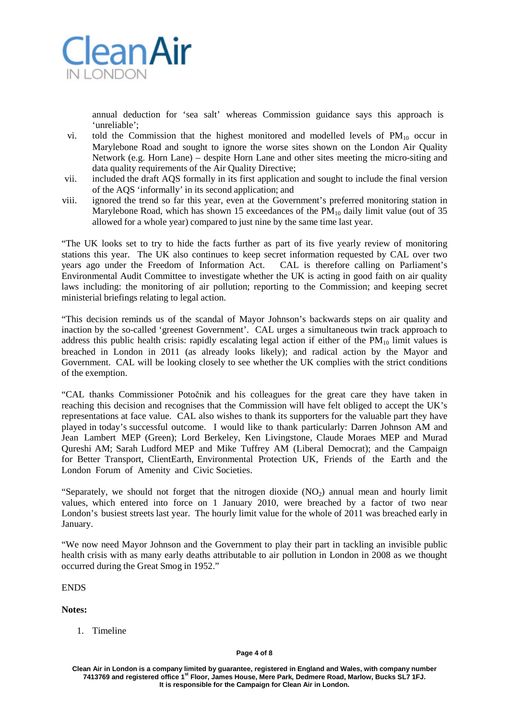

annual deduction for 'sea salt' whereas Commission guidance says this approach is 'unreliable';

- vi. told the Commission that the highest monitored and modelled levels of  $PM_{10}$  occur in Marylebone Road and sought to ignore the worse sites shown on the London Air Quality Network (e.g. Horn Lane) – despite Horn Lane and other sites meeting the micro-siting and data quality requirements of the Air Quality Directive;
- vii. included the draft AQS formally in its first application and sought to include the final version of the AQS 'informally' in its second application; and
- viii. ignored the trend so far this year, even at the Government's preferred monitoring station in Marylebone Road, which has shown 15 exceedances of the  $PM_{10}$  daily limit value (out of 35 allowed for a whole year) compared to just nine by the same time last year.

"The UK looks set to try to hide the facts further as part of its five yearly review of monitoring stations this year. The UK also continues to keep secret information requested by CAL over two years ago under the Freedom of Information Act. CAL is therefore calling on Parliament's Environmental Audit Committee to investigate whether the UK is acting in good faith on air quality laws including: the monitoring of air pollution; reporting to the Commission; and keeping secret ministerial briefings relating to legal action.

"This decision reminds us of the scandal of Mayor Johnson's backwards steps on air quality and inaction by the so-called 'greenest Government'. CAL urges a simultaneous twin track approach to address this public health crisis: rapidly escalating legal action if either of the  $PM_{10}$  limit values is breached in London in 2011 (as already looks likely); and radical action by the Mayor and Government. CAL will be looking closely to see whether the UK complies with the strict conditions of the exemption.

"CAL thanks Commissioner Potočnik and his colleagues for the great care they have taken in reaching this decision and recognises that the Commission will have felt obliged to accept the UK's representations at face value. CAL also wishes to thank its supporters for the valuable part they have played in today's successful outcome. I would like to thank particularly: Darren Johnson AM and Jean Lambert MEP (Green); Lord Berkeley, Ken Livingstone, Claude Moraes MEP and Murad Qureshi AM; Sarah Ludford MEP and Mike Tuffrey AM (Liberal Democrat); and the Campaign for Better Transport, ClientEarth, Environmental Protection UK, Friends of the Earth and the London Forum of Amenity and Civic Societies.

"Separately, we should not forget that the nitrogen dioxide  $(NO<sub>2</sub>)$  annual mean and hourly limit values, which entered into force on 1 January 2010, were breached by a factor of two near London's busiest streets last year. The hourly limit value for the whole of 2011 was breached early in January.

"We now need Mayor Johnson and the Government to play their part in tackling an invisible public health crisis with as many early deaths attributable to air pollution in London in 2008 as we thought occurred during the Great Smog in 1952."

ENDS

**Notes:**

1. Timeline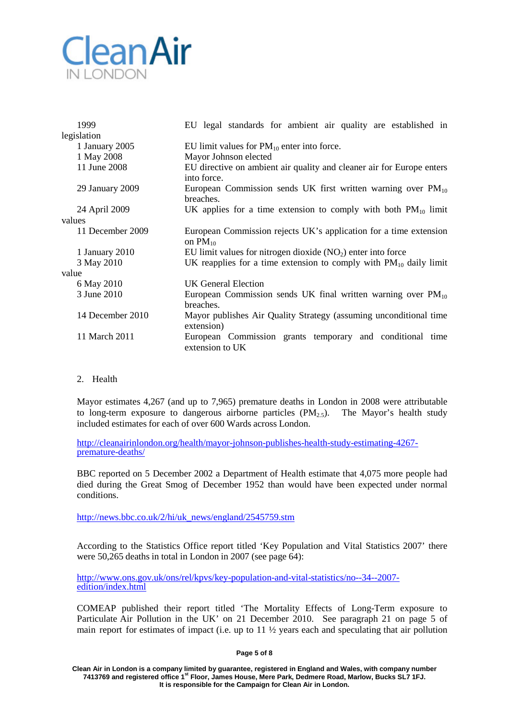# **CleanAir** IN LONDON

| 1999             | EU legal standards for ambient air quality are established in                        |
|------------------|--------------------------------------------------------------------------------------|
| legislation      |                                                                                      |
| 1 January 2005   | EU limit values for $PM_{10}$ enter into force.                                      |
| 1 May 2008       | Mayor Johnson elected                                                                |
| 11 June 2008     | EU directive on ambient air quality and cleaner air for Europe enters<br>into force. |
| 29 January 2009  | European Commission sends UK first written warning over $PM_{10}$<br>breaches.       |
| 24 April 2009    | UK applies for a time extension to comply with both $PM_{10}$ limit                  |
| values           |                                                                                      |
| 11 December 2009 | European Commission rejects UK's application for a time extension<br>on $PM_{10}$    |
| 1 January 2010   | EU limit values for nitrogen dioxide $(NO2)$ enter into force                        |
| 3 May 2010       | UK reapplies for a time extension to comply with $PM_{10}$ daily limit               |
| value            |                                                                                      |
| 6 May 2010       | UK General Election                                                                  |
| 3 June 2010      | European Commission sends UK final written warning over $PM_{10}$<br>breaches.       |
| 14 December 2010 | Mayor publishes Air Quality Strategy (assuming unconditional time<br>extension)      |
| 11 March 2011    | European Commission grants temporary and conditional time<br>extension to UK         |

2. Health

Mayor estimates 4,267 (and up to 7,965) premature deaths in London in 2008 were attributable to long-term exposure to dangerous airborne particles  $(PM_{2.5})$ . The Mayor's health study included estimates for each of over 600 Wards across London.

[http://cleanairinlondon.org/health/mayor-johnson-publishes-health-study-estimating-4267-](http://cleanairlondon.org/health/mayor-johnson-publishes-health-study-estimating-4267-premature-deaths/) [premature-deaths/](http://cleanairlondon.org/health/mayor-johnson-publishes-health-study-estimating-4267-premature-deaths/)

BBC reported on 5 December 2002 a Department of Health estimate that 4,075 more people had died during the Great Smog of December 1952 than would have been expected under normal conditions.

[http://news.bbc.co.uk/2/hi/uk\\_news/england/2545759.stm](http://news.bbc.co.uk/2/hi/uk_news/england/2545759.stm)

According to the Statistics Office report titled 'Key Population and Vital Statistics 2007' there were 50,265 deaths in total in London in 2007 (see page 64):

[http://www.ons.gov.uk/ons/rel/kpvs/key-population-and-vital-statistics/no--34--2007](http://www.ons.gov.uk/ons/rel/kpvs/key-population-and-vital-statistics/no--34--2007-edition/index.html) [edition/index.html](http://www.ons.gov.uk/ons/rel/kpvs/key-population-and-vital-statistics/no--34--2007-edition/index.html)

COMEAP published their report titled 'The Mortality Effects of Long-Term exposure to Particulate Air Pollution in the UK' on 21 December 2010. See paragraph 21 on page 5 of main report for estimates of impact (i.e. up to  $11 \frac{1}{2}$  years each and speculating that air pollution

# **Page 5 of 8**

**Clean Air in London is a company limited by guarantee, registered in England and Wales, with company number 7413769 and registered office 1st Floor, James House, Mere Park, Dedmere Road, Marlow, Bucks SL7 1FJ. It is responsible for the Campaign for Clean Air in London.**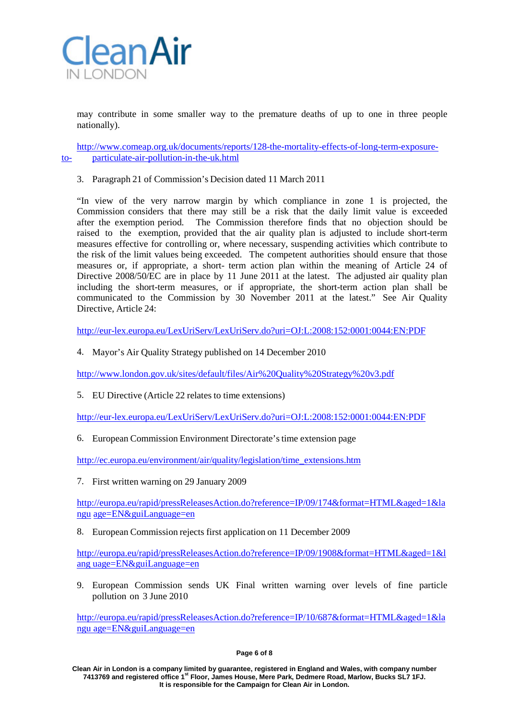

may contribute in some smaller way to the premature deaths of up to one in three people nationally).

[http://www.comeap.org.uk/documents/reports/128-the-mortality-effects-of-long-term-exposure](http://www.comeap.org.uk/documents/reports/128-the-mortality-effects-of-long-term-exposure-to-)[to-](http://www.comeap.org.uk/documents/reports/128-the-mortality-effects-of-long-term-exposure-to-) particulate-air-pollution-in-the-uk.html

3. Paragraph 21 of Commission's Decision dated 11 March 2011

"In view of the very narrow margin by which compliance in zone 1 is projected, the Commission considers that there may still be a risk that the daily limit value is exceeded after the exemption period. The Commission therefore finds that no objection should be raised to the exemption, provided that the air quality plan is adjusted to include short-term measures effective for controlling or, where necessary, suspending activities which contribute to the risk of the limit values being exceeded. The competent authorities should ensure that those measures or, if appropriate, a short- term action plan within the meaning of Article 24 of Directive 2008/50/EC are in place by 11 June 2011 at the latest. The adjusted air quality plan including the short-term measures, or if appropriate, the short-term action plan shall be communicated to the Commission by 30 November 2011 at the latest." See Air Quality Directive, Article 24:

[http://eur-lex.europa.eu/LexUriServ/LexUriServ.do?uri=OJ:L:2008:152:0001:0044:EN:PDF](http://eur-lex.europa.eu/LexUriServ/LexUriServ.do?uri=OJ%3AL%3A2008%3A152%3A0001%3A0044%3AEN%3APDF)

4. Mayor's Air Quality Strategy published on 14 December 2010

<http://www.london.gov.uk/sites/default/files/Air%20Quality%20Strategy%20v3.pdf>

5. EU Directive (Article 22 relates to time extensions)

[http://eur-lex.europa.eu/LexUriServ/LexUriServ.do?uri=OJ:L:2008:152:0001:0044:EN:PDF](http://eur-lex.europa.eu/LexUriServ/LexUriServ.do?uri=OJ%3AL%3A2008%3A152%3A0001%3A0044%3AEN%3APDF)

6. European Commission Environment Directorate'stime extension page

[http://ec.europa.eu/environment/air/quality/legislation/time\\_extensions.htm](http://ec.europa.eu/environment/air/quality/legislation/time_extensions.htm)

7. First written warning on 29 January 2009

[http://europa.eu/rapid/pressReleasesAction.do?reference=IP/09/174&format=HTML&aged=1&la](http://europa.eu/rapid/pressReleasesAction.do?reference=IP/09/174&format=HTML&aged=1&langu) [ngu](http://europa.eu/rapid/pressReleasesAction.do?reference=IP/09/174&format=HTML&aged=1&langu) age=EN&guiLanguage=en

8. European Commission rejects first application on 11 December 2009

[http://europa.eu/rapid/pressReleasesAction.do?reference=IP/09/1908&format=HTML&aged=1&l](http://europa.eu/rapid/pressReleasesAction.do?reference=IP/09/1908&format=HTML&aged=1&lang%20uage=EN&guiLanguage=en) ang [uage=EN&guiLanguage=en](http://europa.eu/rapid/pressReleasesAction.do?reference=IP/09/1908&format=HTML&aged=1&lang%20uage=EN&guiLanguage=en)

9. European Commission sends UK Final written warning over levels of fine particle pollution on 3 June 2010

[http://europa.eu/rapid/pressReleasesAction.do?reference=IP/10/687&format=HTML&aged=1&la](http://europa.eu/rapid/pressReleasesAction.do?reference=IP/10/687&format=HTML&aged=1&langu%20age=EN&guiLanguage=en) ngu [age=EN&guiLanguage=en](http://europa.eu/rapid/pressReleasesAction.do?reference=IP/10/687&format=HTML&aged=1&langu%20age=EN&guiLanguage=en)

#### **Page 6 of 8**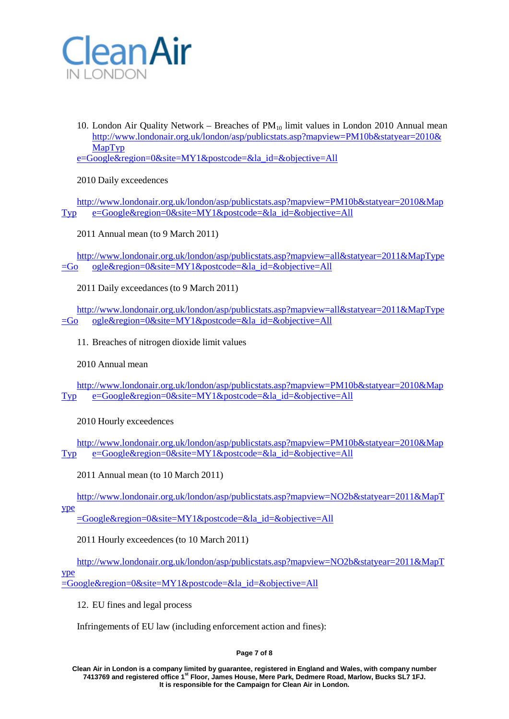

10. London Air Quality Network – Breaches of  $PM_{10}$  limit values in London 2010 Annual mean [http://www.londonair.org.uk/london/asp/publicstats.asp?mapview=PM10b&statyear=2010&](http://www.londonair.org.uk/london/asp/publicstats.asp?mapview=PM10b&statyear=2010&MapTyp) **[MapTyp](http://www.londonair.org.uk/london/asp/publicstats.asp?mapview=PM10b&statyear=2010&MapTyp)** 

e=Google&region=0&site=MY1&postcode=&la\_id=&objective=All

2010 Daily exceedences

[http://www.londonair.org.uk/london/asp/publicstats.asp?mapview=PM10b&statyear=2010&Map](http://www.londonair.org.uk/london/asp/publicstats.asp?mapview=PM10b&statyear=2010&MapTyp)  $Typ \qquad e = Google\&region = 0\&site = MY1\&postcode = \&lalala \cdot id = \&objective = All$  $Typ \qquad e = Google\&region = 0\&site = MY1\&postcode = \&lalala \cdot id = \&objective = All$ 

2011 Annual mean (to 9 March 2011)

[http://www.londonair.org.uk/london/asp/publicstats.asp?mapview=all&statyear=2011&MapType](http://www.londonair.org.uk/london/asp/publicstats.asp?mapview=all&statyear=2011&MapType=Go)  $=$ Go ogle&region=0&site=MY1&postcode=&la\_id=&objective=All

2011 Daily exceedances (to 9 March 2011)

[http://www.londonair.org.uk/london/asp/publicstats.asp?mapview=all&statyear=2011&MapType](http://www.londonair.org.uk/london/asp/publicstats.asp?mapview=all&statyear=2011&MapType=Go)  $=$ Go ogle&region=0&site=MY1&postcode=&la\_id=&objective=All

11. Breaches of nitrogen dioxide limit values

2010 Annual mean

[http://www.londonair.org.uk/london/asp/publicstats.asp?mapview=PM10b&statyear=2010&Map](http://www.londonair.org.uk/london/asp/publicstats.asp?mapview=PM10b&statyear=2010&MapTyp) [Typ](http://www.londonair.org.uk/london/asp/publicstats.asp?mapview=PM10b&statyear=2010&MapTyp) e=Google&region=0&site=MY1&postcode=&la\_id=&objective=All

2010 Hourly exceedences

[http://www.londonair.org.uk/london/asp/publicstats.asp?mapview=PM10b&statyear=2010&Map](http://www.londonair.org.uk/london/asp/publicstats.asp?mapview=PM10b&statyear=2010&MapTyp) [Typ](http://www.londonair.org.uk/london/asp/publicstats.asp?mapview=PM10b&statyear=2010&MapTyp) e=Google&region=0&site=MY1&postcode=&la\_id=&objective=All

2011 Annual mean (to 10 March 2011)

[http://www.londonair.org.uk/london/asp/publicstats.asp?mapview=NO2b&statyear=2011&MapT](http://www.londonair.org.uk/london/asp/publicstats.asp?mapview=NO2b&statyear=2011&MapType) [ype](http://www.londonair.org.uk/london/asp/publicstats.asp?mapview=NO2b&statyear=2011&MapType)

=Google&region=0&site=MY1&postcode=&la\_id=&objective=All

2011 Hourly exceedences (to 10 March 2011)

[http://www.londonair.org.uk/london/asp/publicstats.asp?mapview=NO2b&statyear=2011&MapT](http://www.londonair.org.uk/london/asp/publicstats.asp?mapview=NO2b&statyear=2011&MapType) [ype](http://www.londonair.org.uk/london/asp/publicstats.asp?mapview=NO2b&statyear=2011&MapType) =Google&region=0&site=MY1&postcode=&la\_id=&objective=All

12. EU fines and legal process

Infringements of EU law (including enforcement action and fines):

#### **Page 7 of 8**